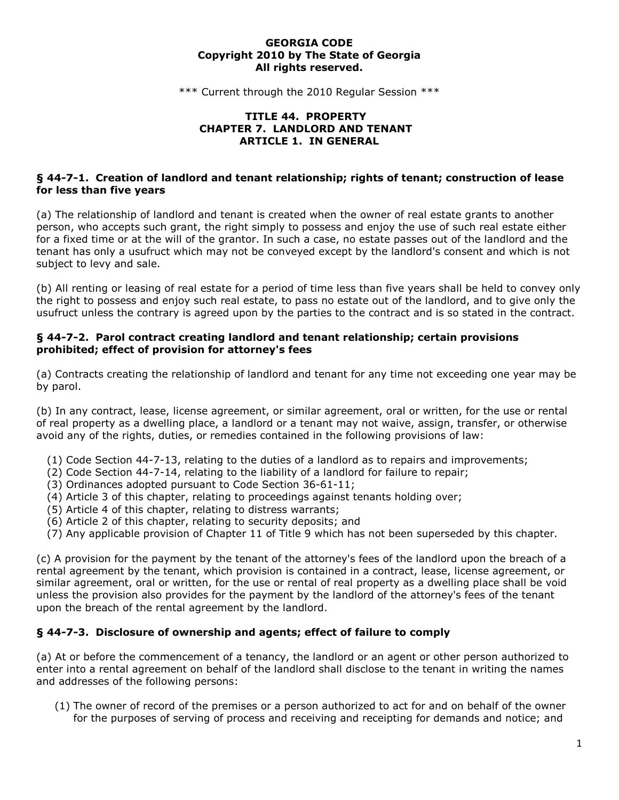#### **GEORGIA CODE Copyright 2010 by The State of Georgia All rights reserved.**

\*\*\* Current through the 2010 Regular Session \*\*\*

#### **TITLE 44. PROPERTY CHAPTER 7. LANDLORD AND TENANT ARTICLE 1. IN GENERAL**

### **§ 44-7-1. Creation of landlord and tenant relationship; rights of tenant; construction of lease for less than five years**

(a) The relationship of landlord and tenant is created when the owner of real estate grants to another person, who accepts such grant, the right simply to possess and enjoy the use of such real estate either for a fixed time or at the will of the grantor. In such a case, no estate passes out of the landlord and the tenant has only a usufruct which may not be conveyed except by the landlord's consent and which is not subject to levy and sale.

(b) All renting or leasing of real estate for a period of time less than five years shall be held to convey only the right to possess and enjoy such real estate, to pass no estate out of the landlord, and to give only the usufruct unless the contrary is agreed upon by the parties to the contract and is so stated in the contract.

#### **§ 44-7-2. Parol contract creating landlord and tenant relationship; certain provisions prohibited; effect of provision for attorney's fees**

(a) Contracts creating the relationship of landlord and tenant for any time not exceeding one year may be by parol.

(b) In any contract, lease, license agreement, or similar agreement, oral or written, for the use or rental of real property as a dwelling place, a landlord or a tenant may not waive, assign, transfer, or otherwise avoid any of the rights, duties, or remedies contained in the following provisions of law:

- (1) Code Section 44-7-13, relating to the duties of a landlord as to repairs and improvements;
- (2) Code Section 44-7-14, relating to the liability of a landlord for failure to repair;
- (3) Ordinances adopted pursuant to Code Section 36-61-11;
- (4) Article 3 of this chapter, relating to proceedings against tenants holding over;
- (5) Article 4 of this chapter, relating to distress warrants;
- (6) Article 2 of this chapter, relating to security deposits; and
- (7) Any applicable provision of Chapter 11 of Title 9 which has not been superseded by this chapter.

(c) A provision for the payment by the tenant of the attorney's fees of the landlord upon the breach of a rental agreement by the tenant, which provision is contained in a contract, lease, license agreement, or similar agreement, oral or written, for the use or rental of real property as a dwelling place shall be void unless the provision also provides for the payment by the landlord of the attorney's fees of the tenant upon the breach of the rental agreement by the landlord.

### **§ 44-7-3. Disclosure of ownership and agents; effect of failure to comply**

(a) At or before the commencement of a tenancy, the landlord or an agent or other person authorized to enter into a rental agreement on behalf of the landlord shall disclose to the tenant in writing the names and addresses of the following persons:

(1) The owner of record of the premises or a person authorized to act for and on behalf of the owner for the purposes of serving of process and receiving and receipting for demands and notice; and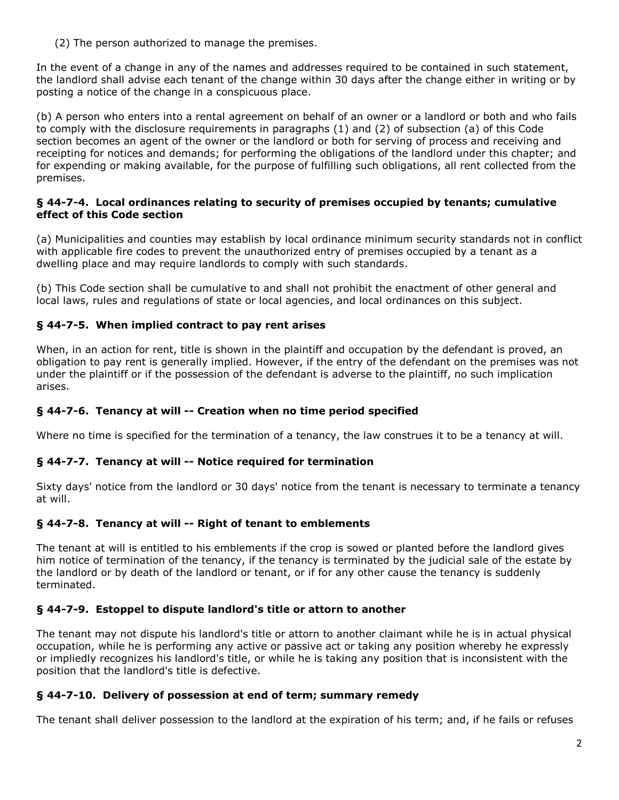(2) The person authorized to manage the premises.

In the event of a change in any of the names and addresses required to be contained in such statement, the landlord shall advise each tenant of the change within 30 days after the change either in writing or by posting a notice of the change in a conspicuous place.

(b) A person who enters into a rental agreement on behalf of an owner or a landlord or both and who fails to comply with the disclosure requirements in paragraphs (1) and (2) of subsection (a) of this Code section becomes an agent of the owner or the landlord or both for serving of process and receiving and receipting for notices and demands; for performing the obligations of the landlord under this chapter; and for expending or making available, for the purpose of fulfilling such obligations, all rent collected from the premises.

#### **§ 44-7-4. Local ordinances relating to security of premises occupied by tenants; cumulative effect of this Code section**

(a) Municipalities and counties may establish by local ordinance minimum security standards not in conflict with applicable fire codes to prevent the unauthorized entry of premises occupied by a tenant as a dwelling place and may require landlords to comply with such standards.

(b) This Code section shall be cumulative to and shall not prohibit the enactment of other general and local laws, rules and regulations of state or local agencies, and local ordinances on this subject.

# **§ 44-7-5. When implied contract to pay rent arises**

When, in an action for rent, title is shown in the plaintiff and occupation by the defendant is proved, an obligation to pay rent is generally implied. However, if the entry of the defendant on the premises was not under the plaintiff or if the possession of the defendant is adverse to the plaintiff, no such implication arises.

# **§ 44-7-6. Tenancy at will -- Creation when no time period specified**

Where no time is specified for the termination of a tenancy, the law construes it to be a tenancy at will.

### **§ 44-7-7. Tenancy at will -- Notice required for termination**

Sixty days' notice from the landlord or 30 days' notice from the tenant is necessary to terminate a tenancy at will.

### **§ 44-7-8. Tenancy at will -- Right of tenant to emblements**

The tenant at will is entitled to his emblements if the crop is sowed or planted before the landlord gives him notice of termination of the tenancy, if the tenancy is terminated by the judicial sale of the estate by the landlord or by death of the landlord or tenant, or if for any other cause the tenancy is suddenly terminated.

# **§ 44-7-9. Estoppel to dispute landlord's title or attorn to another**

The tenant may not dispute his landlord's title or attorn to another claimant while he is in actual physical occupation, while he is performing any active or passive act or taking any position whereby he expressly or impliedly recognizes his landlord's title, or while he is taking any position that is inconsistent with the position that the landlord's title is defective.

# **§ 44-7-10. Delivery of possession at end of term; summary remedy**

The tenant shall deliver possession to the landlord at the expiration of his term; and, if he fails or refuses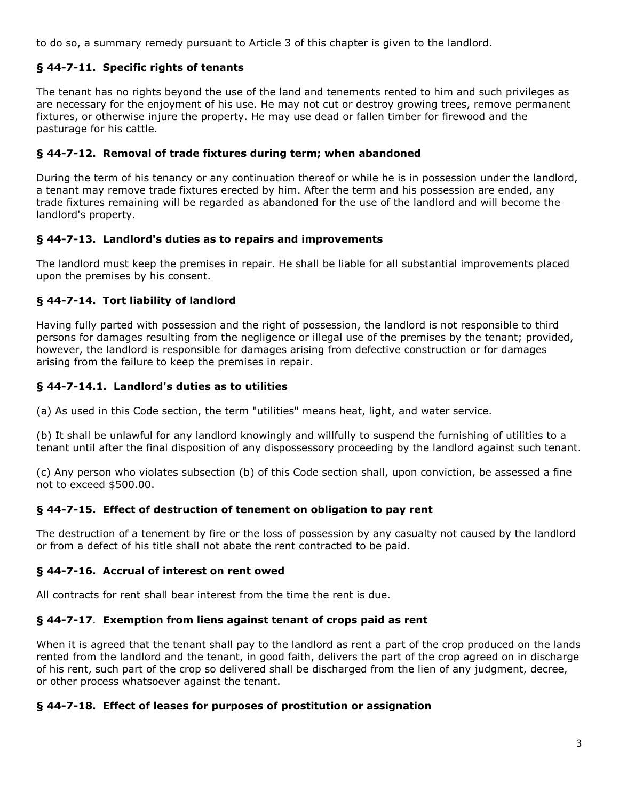to do so, a summary remedy pursuant to Article 3 of this chapter is given to the landlord.

## **§ 44-7-11. Specific rights of tenants**

The tenant has no rights beyond the use of the land and tenements rented to him and such privileges as are necessary for the enjoyment of his use. He may not cut or destroy growing trees, remove permanent fixtures, or otherwise injure the property. He may use dead or fallen timber for firewood and the pasturage for his cattle.

### **§ 44-7-12. Removal of trade fixtures during term; when abandoned**

During the term of his tenancy or any continuation thereof or while he is in possession under the landlord, a tenant may remove trade fixtures erected by him. After the term and his possession are ended, any trade fixtures remaining will be regarded as abandoned for the use of the landlord and will become the landlord's property.

### **§ 44-7-13. Landlord's duties as to repairs and improvements**

The landlord must keep the premises in repair. He shall be liable for all substantial improvements placed upon the premises by his consent.

## **§ 44-7-14. Tort liability of landlord**

Having fully parted with possession and the right of possession, the landlord is not responsible to third persons for damages resulting from the negligence or illegal use of the premises by the tenant; provided, however, the landlord is responsible for damages arising from defective construction or for damages arising from the failure to keep the premises in repair.

## **§ 44-7-14.1. Landlord's duties as to utilities**

(a) As used in this Code section, the term "utilities" means heat, light, and water service.

(b) It shall be unlawful for any landlord knowingly and willfully to suspend the furnishing of utilities to a tenant until after the final disposition of any dispossessory proceeding by the landlord against such tenant.

(c) Any person who violates subsection (b) of this Code section shall, upon conviction, be assessed a fine not to exceed \$500.00.

### **§ 44-7-15. Effect of destruction of tenement on obligation to pay rent**

The destruction of a tenement by fire or the loss of possession by any casualty not caused by the landlord or from a defect of his title shall not abate the rent contracted to be paid.

### **§ 44-7-16. Accrual of interest on rent owed**

All contracts for rent shall bear interest from the time the rent is due.

### **§ 44-7-17**. **Exemption from liens against tenant of crops paid as rent**

When it is agreed that the tenant shall pay to the landlord as rent a part of the crop produced on the lands rented from the landlord and the tenant, in good faith, delivers the part of the crop agreed on in discharge of his rent, such part of the crop so delivered shall be discharged from the lien of any judgment, decree, or other process whatsoever against the tenant.

### **§ 44-7-18. Effect of leases for purposes of prostitution or assignation**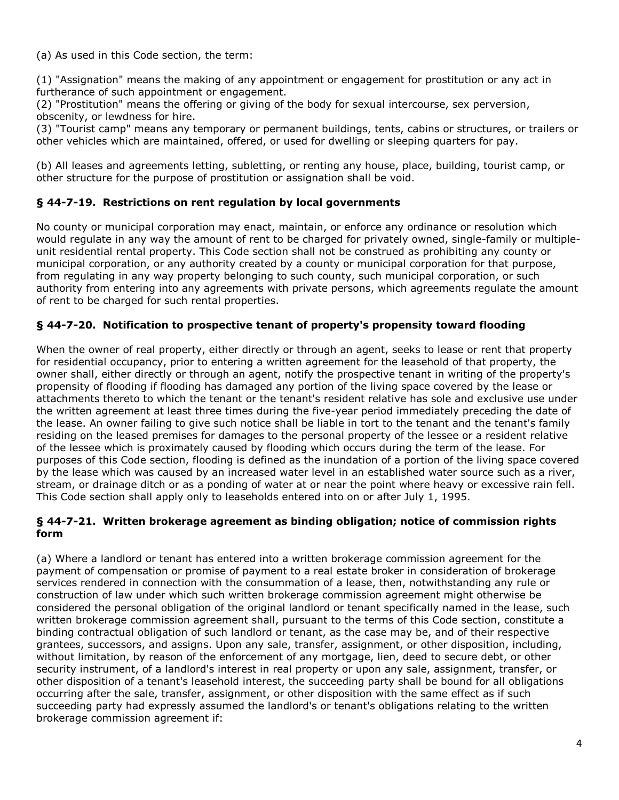(a) As used in this Code section, the term:

(1) "Assignation" means the making of any appointment or engagement for prostitution or any act in furtherance of such appointment or engagement.

(2) "Prostitution" means the offering or giving of the body for sexual intercourse, sex perversion, obscenity, or lewdness for hire.

(3) "Tourist camp" means any temporary or permanent buildings, tents, cabins or structures, or trailers or other vehicles which are maintained, offered, or used for dwelling or sleeping quarters for pay.

(b) All leases and agreements letting, subletting, or renting any house, place, building, tourist camp, or other structure for the purpose of prostitution or assignation shall be void.

### **§ 44-7-19. Restrictions on rent regulation by local governments**

No county or municipal corporation may enact, maintain, or enforce any ordinance or resolution which would regulate in any way the amount of rent to be charged for privately owned, single-family or multipleunit residential rental property. This Code section shall not be construed as prohibiting any county or municipal corporation, or any authority created by a county or municipal corporation for that purpose, from regulating in any way property belonging to such county, such municipal corporation, or such authority from entering into any agreements with private persons, which agreements regulate the amount of rent to be charged for such rental properties.

### **§ 44-7-20. Notification to prospective tenant of property's propensity toward flooding**

When the owner of real property, either directly or through an agent, seeks to lease or rent that property for residential occupancy, prior to entering a written agreement for the leasehold of that property, the owner shall, either directly or through an agent, notify the prospective tenant in writing of the property's propensity of flooding if flooding has damaged any portion of the living space covered by the lease or attachments thereto to which the tenant or the tenant's resident relative has sole and exclusive use under the written agreement at least three times during the five-year period immediately preceding the date of the lease. An owner failing to give such notice shall be liable in tort to the tenant and the tenant's family residing on the leased premises for damages to the personal property of the lessee or a resident relative of the lessee which is proximately caused by flooding which occurs during the term of the lease. For purposes of this Code section, flooding is defined as the inundation of a portion of the living space covered by the lease which was caused by an increased water level in an established water source such as a river, stream, or drainage ditch or as a ponding of water at or near the point where heavy or excessive rain fell. This Code section shall apply only to leaseholds entered into on or after July 1, 1995.

#### **§ 44-7-21. Written brokerage agreement as binding obligation; notice of commission rights form**

(a) Where a landlord or tenant has entered into a written brokerage commission agreement for the payment of compensation or promise of payment to a real estate broker in consideration of brokerage services rendered in connection with the consummation of a lease, then, notwithstanding any rule or construction of law under which such written brokerage commission agreement might otherwise be considered the personal obligation of the original landlord or tenant specifically named in the lease, such written brokerage commission agreement shall, pursuant to the terms of this Code section, constitute a binding contractual obligation of such landlord or tenant, as the case may be, and of their respective grantees, successors, and assigns. Upon any sale, transfer, assignment, or other disposition, including, without limitation, by reason of the enforcement of any mortgage, lien, deed to secure debt, or other security instrument, of a landlord's interest in real property or upon any sale, assignment, transfer, or other disposition of a tenant's leasehold interest, the succeeding party shall be bound for all obligations occurring after the sale, transfer, assignment, or other disposition with the same effect as if such succeeding party had expressly assumed the landlord's or tenant's obligations relating to the written brokerage commission agreement if: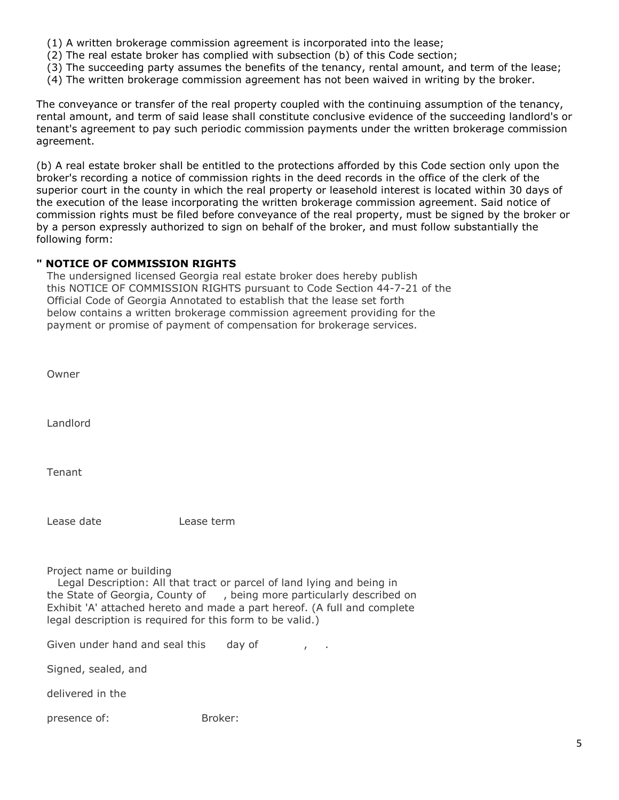- (1) A written brokerage commission agreement is incorporated into the lease;
- (2) The real estate broker has complied with subsection (b) of this Code section;
- (3) The succeeding party assumes the benefits of the tenancy, rental amount, and term of the lease;
- (4) The written brokerage commission agreement has not been waived in writing by the broker.

The conveyance or transfer of the real property coupled with the continuing assumption of the tenancy, rental amount, and term of said lease shall constitute conclusive evidence of the succeeding landlord's or tenant's agreement to pay such periodic commission payments under the written brokerage commission agreement.

(b) A real estate broker shall be entitled to the protections afforded by this Code section only upon the broker's recording a notice of commission rights in the deed records in the office of the clerk of the superior court in the county in which the real property or leasehold interest is located within 30 days of the execution of the lease incorporating the written brokerage commission agreement. Said notice of commission rights must be filed before conveyance of the real property, must be signed by the broker or by a person expressly authorized to sign on behalf of the broker, and must follow substantially the following form:

### **" NOTICE OF COMMISSION RIGHTS**

 The undersigned licensed Georgia real estate broker does hereby publish this NOTICE OF COMMISSION RIGHTS pursuant to Code Section 44-7-21 of the Official Code of Georgia Annotated to establish that the lease set forth below contains a written brokerage commission agreement providing for the payment or promise of payment of compensation for brokerage services.

| Owner                                                                                                                                                                                                                                                                                                                |            |
|----------------------------------------------------------------------------------------------------------------------------------------------------------------------------------------------------------------------------------------------------------------------------------------------------------------------|------------|
| Landlord                                                                                                                                                                                                                                                                                                             |            |
| Tenant                                                                                                                                                                                                                                                                                                               |            |
| Lease date                                                                                                                                                                                                                                                                                                           | Lease term |
| Project name or building<br>Legal Description: All that tract or parcel of land lying and being in<br>the State of Georgia, County of, being more particularly described on<br>Exhibit 'A' attached hereto and made a part hereof. (A full and complete<br>legal description is required for this form to be valid.) |            |

Given under hand and seal this day of fig.

Signed, sealed, and

delivered in the

presence of: Broker: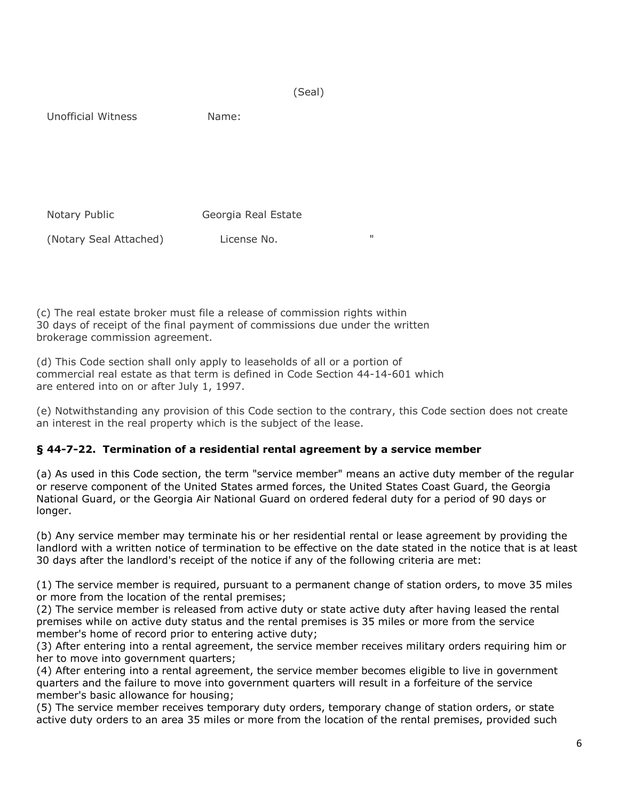(Seal)

Unofficial Witness Name:

 Notary Public Georgia Real Estate (Notary Seal Attached) License No. "

(c) The real estate broker must file a release of commission rights within 30 days of receipt of the final payment of commissions due under the written brokerage commission agreement.

(d) This Code section shall only apply to leaseholds of all or a portion of commercial real estate as that term is defined in Code Section 44-14-601 which are entered into on or after July 1, 1997.

(e) Notwithstanding any provision of this Code section to the contrary, this Code section does not create an interest in the real property which is the subject of the lease.

# **§ 44-7-22. Termination of a residential rental agreement by a service member**

(a) As used in this Code section, the term "service member" means an active duty member of the regular or reserve component of the United States armed forces, the United States Coast Guard, the Georgia National Guard, or the Georgia Air National Guard on ordered federal duty for a period of 90 days or longer.

(b) Any service member may terminate his or her residential rental or lease agreement by providing the landlord with a written notice of termination to be effective on the date stated in the notice that is at least 30 days after the landlord's receipt of the notice if any of the following criteria are met:

(1) The service member is required, pursuant to a permanent change of station orders, to move 35 miles or more from the location of the rental premises;

(2) The service member is released from active duty or state active duty after having leased the rental premises while on active duty status and the rental premises is 35 miles or more from the service member's home of record prior to entering active duty;

(3) After entering into a rental agreement, the service member receives military orders requiring him or her to move into government quarters;

(4) After entering into a rental agreement, the service member becomes eligible to live in government quarters and the failure to move into government quarters will result in a forfeiture of the service member's basic allowance for housing;

(5) The service member receives temporary duty orders, temporary change of station orders, or state active duty orders to an area 35 miles or more from the location of the rental premises, provided such